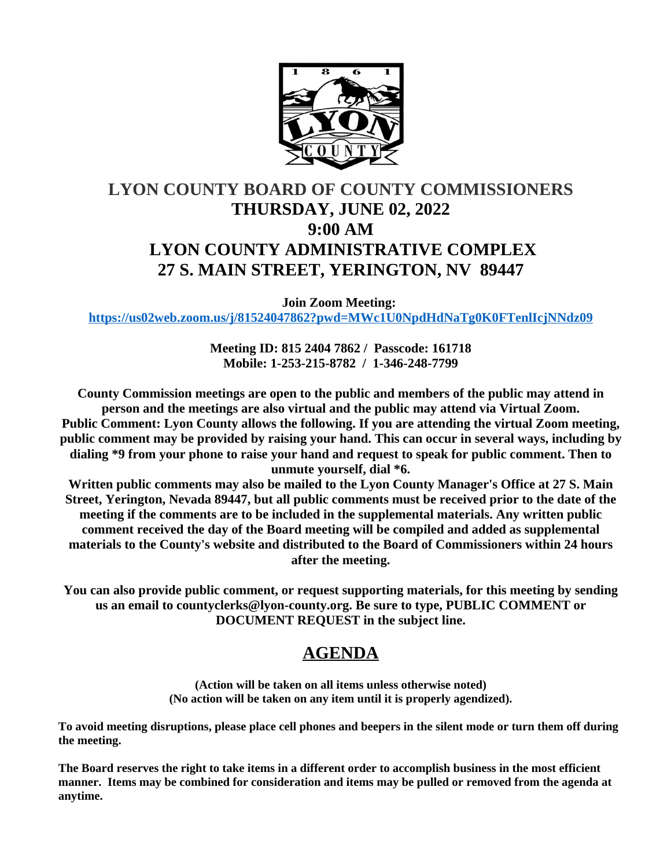

# **LYON COUNTY BOARD OF COUNTY COMMISSIONERS THURSDAY, JUNE 02, 2022 9:00 AM LYON COUNTY ADMINISTRATIVE COMPLEX 27 S. MAIN STREET, YERINGTON, NV 89447**

**Join Zoom Meeting: <https://us02web.zoom.us/j/81524047862?pwd=MWc1U0NpdHdNaTg0K0FTenlIcjNNdz09>**

> **Meeting ID: 815 2404 7862 / Passcode: 161718 Mobile: 1-253-215-8782 / 1-346-248-7799**

**County Commission meetings are open to the public and members of the public may attend in person and the meetings are also virtual and the public may attend via Virtual Zoom. Public Comment: Lyon County allows the following. If you are attending the virtual Zoom meeting, public comment may be provided by raising your hand. This can occur in several ways, including by dialing \*9 from your phone to raise your hand and request to speak for public comment. Then to unmute yourself, dial \*6.**

**Written public comments may also be mailed to the Lyon County Manager's Office at 27 S. Main Street, Yerington, Nevada 89447, but all public comments must be received prior to the date of the meeting if the comments are to be included in the supplemental materials. Any written public comment received the day of the Board meeting will be compiled and added as supplemental materials to the County's website and distributed to the Board of Commissioners within 24 hours after the meeting.**

**You can also provide public comment, or request supporting materials, for this meeting by sending us an email to countyclerks@lyon-county.org. Be sure to type, PUBLIC COMMENT or DOCUMENT REQUEST in the subject line.**

## **AGENDA**

**(Action will be taken on all items unless otherwise noted) (No action will be taken on any item until it is properly agendized).**

**To avoid meeting disruptions, please place cell phones and beepers in the silent mode or turn them off during the meeting.**

**The Board reserves the right to take items in a different order to accomplish business in the most efficient manner. Items may be combined for consideration and items may be pulled or removed from the agenda at anytime.**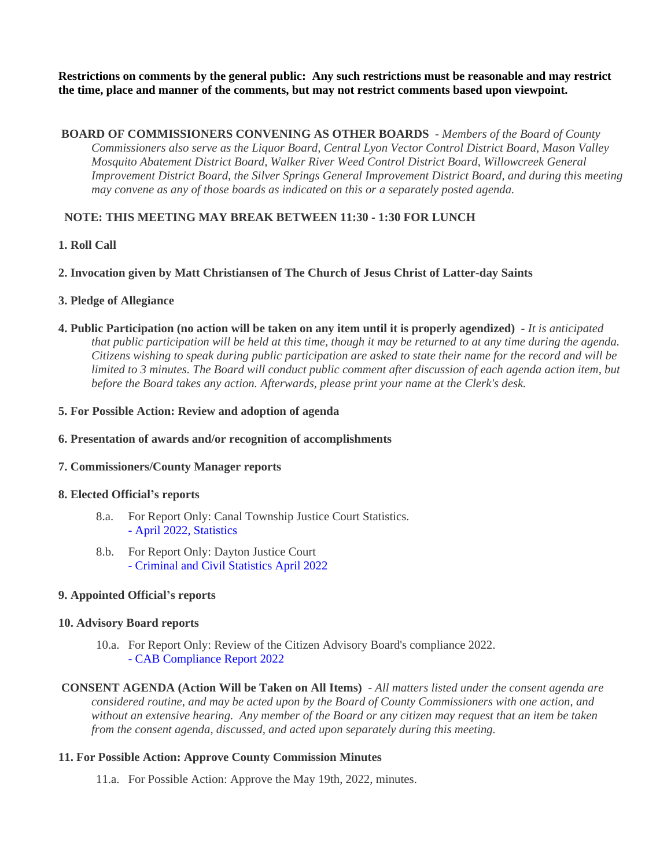**Restrictions on comments by the general public: Any such restrictions must be reasonable and may restrict the time, place and manner of the comments, but may not restrict comments based upon viewpoint.**

 **BOARD OF COMMISSIONERS CONVENING AS OTHER BOARDS** - *Members of the Board of County Commissioners also serve as the Liquor Board, Central Lyon Vector Control District Board, Mason Valley Mosquito Abatement District Board, Walker River Weed Control District Board, Willowcreek General Improvement District Board, the Silver Springs General Improvement District Board, and during this meeting may convene as any of those boards as indicated on this or a separately posted agenda.*

## **NOTE: THIS MEETING MAY BREAK BETWEEN 11:30 - 1:30 FOR LUNCH**

## **1. Roll Call**

## **2. Invocation given by Matt Christiansen of The Church of Jesus Christ of Latter-day Saints**

## **3. Pledge of Allegiance**

**4. Public Participation (no action will be taken on any item until it is properly agendized)** - *It is anticipated that public participation will be held at this time, though it may be returned to at any time during the agenda. Citizens wishing to speak during public participation are asked to state their name for the record and will be limited to 3 minutes. The Board will conduct public comment after discussion of each agenda action item, but before the Board takes any action. Afterwards, please print your name at the Clerk's desk.*

#### **5. For Possible Action: Review and adoption of agenda**

#### **6. Presentation of awards and/or recognition of accomplishments**

## **7. Commissioners/County Manager reports**

#### **8. Elected Official's reports**

- 8.a. For Report Only: Canal Township Justice Court Statistics. [- April 2022, Statistics](https://legistarweb-production.s3.amazonaws.com/uploads/attachment/pdf/1391060/April_Statistics.pdf)
- 8.b. For Report Only: Dayton Justice Court [- Criminal and Civil Statistics April 2022](https://legistarweb-production.s3.amazonaws.com/uploads/attachment/pdf/1391199/CRIMINAL_AND_CIVIL_STATISTICS.pdf)

## **9. Appointed Official's reports**

#### **10. Advisory Board reports**

10.a. For Report Only: Review of the Citizen Advisory Board's compliance 2022. [- CAB Compliance Report 2022](https://legistarweb-production.s3.amazonaws.com/uploads/attachment/pdf/1393038/BOCC_CAB_TRAING_REPORT_2022.pdf)

 **CONSENT AGENDA (Action Will be Taken on All Items)** - *All matters listed under the consent agenda are considered routine, and may be acted upon by the Board of County Commissioners with one action, and without an extensive hearing. Any member of the Board or any citizen may request that an item be taken from the consent agenda, discussed, and acted upon separately during this meeting.*

## **11. For Possible Action: Approve County Commission Minutes**

11.a. For Possible Action: Approve the May 19th, 2022, minutes.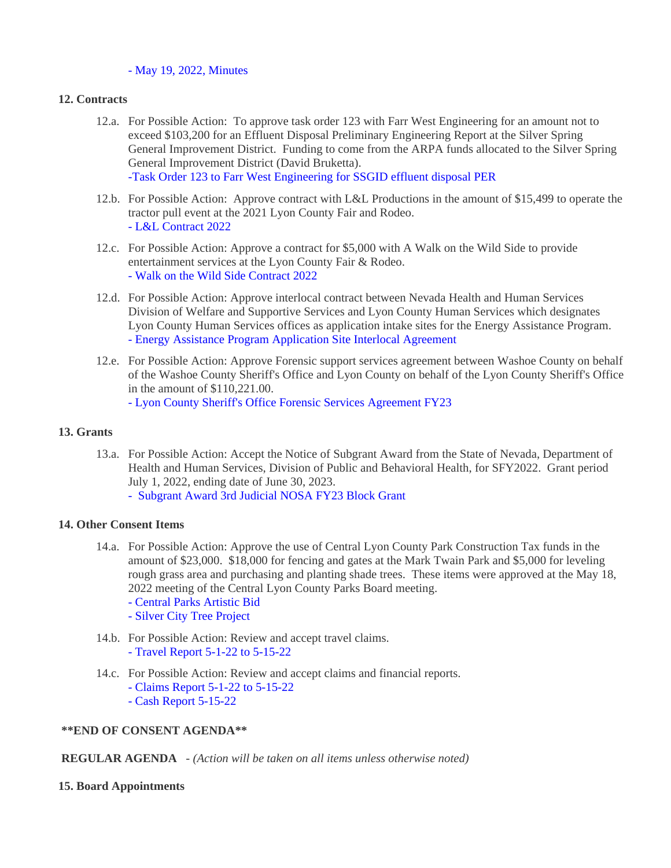#### [- May 19, 2022, Minutes](https://legistarweb-production.s3.amazonaws.com/uploads/attachment/pdf/1392885/05.19.22_comm_mtg.pdf)

#### **12. Contracts**

- 12.a. For Possible Action: To approve task order 123 with Farr West Engineering for an amount not to exceed \$103,200 for an Effluent Disposal Preliminary Engineering Report at the Silver Spring General Improvement District. Funding to come from the ARPA funds allocated to the Silver Spring General Improvement District (David Bruketta). [-Task Order 123 to Farr West Engineering for SSGID effluent disposal PER](https://legistarweb-production.s3.amazonaws.com/uploads/attachment/pdf/1390230/TO_123_SilverSpringsGID_Effl_PER_PE.pdf)
- 12.b. For Possible Action: Approve contract with L&L Productions in the amount of \$15,499 to operate the tractor pull event at the 2021 Lyon County Fair and Rodeo. [- L&L Contract 2022](https://legistarweb-production.s3.amazonaws.com/uploads/attachment/pdf/1389070/L_L_Contract_2022.pdf)
- 12.c. For Possible Action: Approve a contract for \$5,000 with A Walk on the Wild Side to provide entertainment services at the Lyon County Fair & Rodeo. [- Walk on the Wild Side Contract 2022](https://legistarweb-production.s3.amazonaws.com/uploads/attachment/pdf/1391312/Walk_on_the_Wild_Side_Contract_2022.pdf)
- 12.d. For Possible Action: Approve interlocal contract between Nevada Health and Human Services Division of Welfare and Supportive Services and Lyon County Human Services which designates Lyon County Human Services offices as application intake sites for the Energy Assistance Program. [- Energy Assistance Program Application Site Interlocal Agreement](https://legistarweb-production.s3.amazonaws.com/uploads/attachment/pdf/1393007/-Energy_Assistance_Program_Application_Site_Interlocal_Agreement.pdf)
- 12.e. For Possible Action: Approve Forensic support services agreement between Washoe County on behalf of the Washoe County Sheriff's Office and Lyon County on behalf of the Lyon County Sheriff's Office in the amount of \$110,221.00.

[- Lyon County Sheriff's Office Forensic Services Agreement FY23](https://legistarweb-production.s3.amazonaws.com/uploads/attachment/pdf/1392175/Lyon_County_SO_Forensic_Services_Agreement_FY23__1_.pdf)

#### **13. Grants**

- 13.a. For Possible Action: Accept the Notice of Subgrant Award from the State of Nevada, Department of Health and Human Services, Division of Public and Behavioral Health, for SFY2022. Grant period July 1, 2022, ending date of June 30, 2023.
	- [Subgrant Award 3rd Judicial NOSA FY23 Block Grant](https://legistarweb-production.s3.amazonaws.com/uploads/attachment/pdf/1393830/doc05141420220524110711.pdf)

#### **14. Other Consent Items**

- 14.a. For Possible Action: Approve the use of Central Lyon County Park Construction Tax funds in the amount of \$23,000. \$18,000 for fencing and gates at the Mark Twain Park and \$5,000 for leveling rough grass area and purchasing and planting shade trees. These items were approved at the May 18, 2022 meeting of the Central Lyon County Parks Board meeting.
	- [Central Parks Artistic Bid](https://legistarweb-production.s3.amazonaws.com/uploads/attachment/pdf/1391877/Central_Parks_Artistic_bid.pdf)
	- [Silver City Tree Project](https://legistarweb-production.s3.amazonaws.com/uploads/attachment/pdf/1392918/Silver_City_Tree_Project.pdf)
- 14.b. For Possible Action: Review and accept travel claims. [- Travel Report 5-1-22 to 5-15-22](https://legistarweb-production.s3.amazonaws.com/uploads/attachment/pdf/1383257/Travel_Report_5-1-22_to_5-15-22.pdf)
- 14.c. For Possible Action: Review and accept claims and financial reports.
	- [Claims Report 5-1-22 to 5-15-22](https://legistarweb-production.s3.amazonaws.com/uploads/attachment/pdf/1383262/Claims_Report_5-1-22_to_5-15-22.pdf)
	- [Cash Report 5-15-22](https://legistarweb-production.s3.amazonaws.com/uploads/attachment/pdf/1383263/Cash_Report_5-15-22.pdf)

#### **\*\*END OF CONSENT AGENDA\*\***

#### **REGULAR AGENDA** - *(Action will be taken on all items unless otherwise noted)*

#### **15. Board Appointments**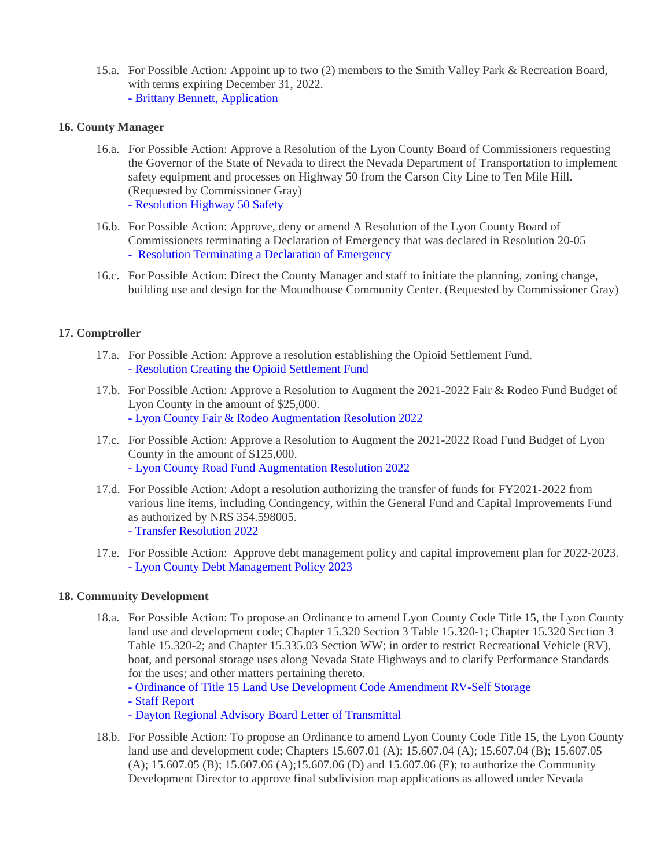15.a. For Possible Action: Appoint up to two (2) members to the Smith Valley Park & Recreation Board, with terms expiring December 31, 2022. [- Brittany Bennett, Application](https://legistarweb-production.s3.amazonaws.com/uploads/attachment/pdf/1393900/Brittany_Bennett_Application_0001.pdf)

#### **16. County Manager**

- 16.a. For Possible Action: Approve a Resolution of the Lyon County Board of Commissioners requesting the Governor of the State of Nevada to direct the Nevada Department of Transportation to implement safety equipment and processes on Highway 50 from the Carson City Line to Ten Mile Hill. (Requested by Commissioner Gray) [- Resolution Highway 50 Safety](https://legistarweb-production.s3.amazonaws.com/uploads/attachment/pdf/1395693/HWY_50_Safety.pdf)
- 16.b. For Possible Action: Approve, deny or amend A Resolution of the Lyon County Board of Commissioners terminating a Declaration of Emergency that was declared in Resolution 20-05 [- Resolution Terminating a Declaration of Emergency](https://legistarweb-production.s3.amazonaws.com/uploads/attachment/pdf/1394665/06022022_RESOLUTION_TERMINATING_DOE.pdf)
- 16.c. For Possible Action: Direct the County Manager and staff to initiate the planning, zoning change, building use and design for the Moundhouse Community Center. (Requested by Commissioner Gray)

## **17. Comptroller**

- 17.a. For Possible Action: Approve a resolution establishing the Opioid Settlement Fund. [- Resolution Creating the Opioid Settlement Fund](https://legistarweb-production.s3.amazonaws.com/uploads/attachment/pdf/1359702/Resolution_Creating_the_Opioid_Settlement_Fund.pdf)
- 17.b. For Possible Action: Approve a Resolution to Augment the 2021-2022 Fair & Rodeo Fund Budget of Lyon County in the amount of \$25,000. [- Lyon County Fair & Rodeo Augmentation Resolution 2022](https://legistarweb-production.s3.amazonaws.com/uploads/attachment/pdf/1385683/Lyon_County_Fair___Rodeo_Augmentation_Resolution_2022.pdf)
- 17.c. For Possible Action: Approve a Resolution to Augment the 2021-2022 Road Fund Budget of Lyon County in the amount of \$125,000. [- Lyon County Road Fund Augmentation Resolution 2022](https://legistarweb-production.s3.amazonaws.com/uploads/attachment/pdf/1385695/Lyon_County_Road_Fund_Augmentation_Resolution_2022.pdf)
- 17.d. For Possible Action: Adopt a resolution authorizing the transfer of funds for FY2021-2022 from various line items, including Contingency, within the General Fund and Capital Improvements Fund as authorized by NRS 354.598005. [- Transfer Resolution 2022](https://legistarweb-production.s3.amazonaws.com/uploads/attachment/pdf/1391752/Transfer_Resolution_2022.pdf)
- 17.e. For Possible Action: Approve debt management policy and capital improvement plan for 2022-2023. [- Lyon County Debt Management Policy 2023](https://legistarweb-production.s3.amazonaws.com/uploads/attachment/pdf/1393059/Lyon_County_Debt_Management_Policy_2023.pdf)

#### **18. Community Development**

18.a. For Possible Action: To propose an Ordinance to amend Lyon County Code Title 15, the Lyon County land use and development code; Chapter 15.320 Section 3 Table 15.320-1; Chapter 15.320 Section 3 Table 15.320-2; and Chapter 15.335.03 Section WW; in order to restrict Recreational Vehicle (RV), boat, and personal storage uses along Nevada State Highways and to clarify Performance Standards for the uses; and other matters pertaining thereto.

[- Ordinance of Title 15 Land Use Development Code Amendment RV-Self Storage](https://legistarweb-production.s3.amazonaws.com/uploads/attachment/pdf/1393556/Ordinance-Title_15_Land_Use___Development_Code_Amendment_RV-Self_Storage.pdf)

[- Staff Report](https://legistarweb-production.s3.amazonaws.com/uploads/attachment/pdf/1393546/RV_Boat_Personal_Storage-Code_Amendment_SR_BOCC_06.02.2022.pdf)

[- Dayton Regional Advisory Board Letter of Transmittal](https://legistarweb-production.s3.amazonaws.com/uploads/attachment/pdf/1395215/DRAC_Letter_of_Transmittal-Code_Amendment_Title_15-RV__Boat_and_Personal_Storage.pdf)

18.b. For Possible Action: To propose an Ordinance to amend Lyon County Code Title 15, the Lyon County land use and development code; Chapters 15.607.01 (A); 15.607.04 (A); 15.607.04 (B); 15.607.05 (A); 15.607.05 (B); 15.607.06 (A);15.607.06 (D) and 15.607.06 (E); to authorize the Community Development Director to approve final subdivision map applications as allowed under Nevada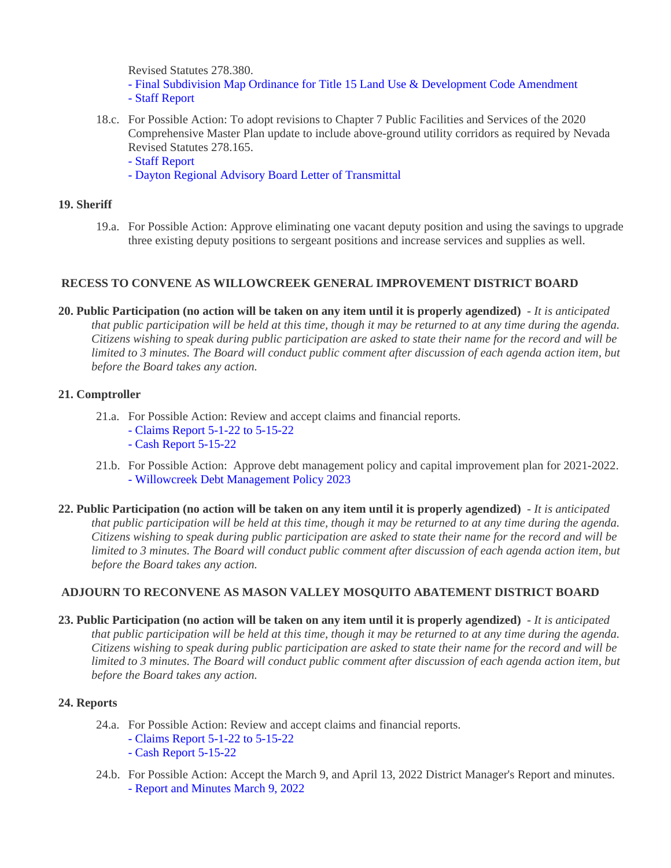Revised Statutes 278.380.

- [Final Subdivision Map Ordinance for Title 15 Land Use & Development Code Amendment](https://legistarweb-production.s3.amazonaws.com/uploads/attachment/pdf/1392134/CDD_Final_Subdivision_Map_Approval_-_Ord_Title_15_Land_Use___Development_Code_Amendments_06.02.2022.pdf)
- [Staff Report](https://legistarweb-production.s3.amazonaws.com/uploads/attachment/pdf/1392131/06.02.2022_BOC_Staff_Report_-_ZTA_CDD_Final_Map_Approvals.pdf)
- 18.c. For Possible Action: To adopt revisions to Chapter 7 Public Facilities and Services of the 2020 Comprehensive Master Plan update to include above-ground utility corridors as required by Nevada Revised Statutes 278.165.

[- Staff Report](https://legistarweb-production.s3.amazonaws.com/uploads/attachment/pdf/1392095/06.02.2022_BOCC_Staff_Report_and_Backup-_Above_Ground_Utility_corridors.pdf)

[- Dayton Regional Advisory Board Letter of Transmittal](https://legistarweb-production.s3.amazonaws.com/uploads/attachment/pdf/1393567/DRAC-_Letter_of_Transmittals-_Master_Plan_Amendment-_Above_Ground_Utility_Corridors-PC_05.10.2022.pdf)

## **19. Sheriff**

19.a. For Possible Action: Approve eliminating one vacant deputy position and using the savings to upgrade three existing deputy positions to sergeant positions and increase services and supplies as well.

## **RECESS TO CONVENE AS WILLOWCREEK GENERAL IMPROVEMENT DISTRICT BOARD**

**20. Public Participation (no action will be taken on any item until it is properly agendized)** - *It is anticipated that public participation will be held at this time, though it may be returned to at any time during the agenda. Citizens wishing to speak during public participation are asked to state their name for the record and will be limited to 3 minutes. The Board will conduct public comment after discussion of each agenda action item, but before the Board takes any action.*

## **21. Comptroller**

- 21.a. For Possible Action: Review and accept claims and financial reports.
	- [Claims Report 5-1-22 to 5-15-22](https://legistarweb-production.s3.amazonaws.com/uploads/attachment/pdf/1387644/Claims_Report_5-1-22_to_5-15-22.pdf)
	- [Cash Report 5-15-22](https://legistarweb-production.s3.amazonaws.com/uploads/attachment/pdf/1387645/Cash_Report_5-15-22.pdf)
- 21.b. For Possible Action: Approve debt management policy and capital improvement plan for 2021-2022. [- Willowcreek Debt Management Policy 2023](https://legistarweb-production.s3.amazonaws.com/uploads/attachment/pdf/1387652/Willowcreek_Debt_Management_Policy_2023.pdf)
- **22. Public Participation (no action will be taken on any item until it is properly agendized)** *It is anticipated that public participation will be held at this time, though it may be returned to at any time during the agenda. Citizens wishing to speak during public participation are asked to state their name for the record and will be limited to 3 minutes. The Board will conduct public comment after discussion of each agenda action item, but before the Board takes any action.*

## **ADJOURN TO RECONVENE AS MASON VALLEY MOSQUITO ABATEMENT DISTRICT BOARD**

**23. Public Participation (no action will be taken on any item until it is properly agendized)** - *It is anticipated that public participation will be held at this time, though it may be returned to at any time during the agenda. Citizens wishing to speak during public participation are asked to state their name for the record and will be limited to 3 minutes. The Board will conduct public comment after discussion of each agenda action item, but before the Board takes any action.*

## **24. Reports**

- 24.a. For Possible Action: Review and accept claims and financial reports.
	- [Claims Report 5-1-22 to 5-15-22](https://legistarweb-production.s3.amazonaws.com/uploads/attachment/pdf/1393952/Claims_Report_5-1-22_to_5-15-22.pdf)
	- [Cash Report 5-15-22](https://legistarweb-production.s3.amazonaws.com/uploads/attachment/pdf/1393953/Cash_Report_5-15-22.pdf)
- 24.b. For Possible Action: Accept the March 9, and April 13, 2022 District Manager's Report and minutes. [- Report and Minutes March 9, 2022](https://legistarweb-production.s3.amazonaws.com/uploads/attachment/pdf/1393949/MVMADB_3.9.22_Report_and_Minutes_0001_0001.pdf)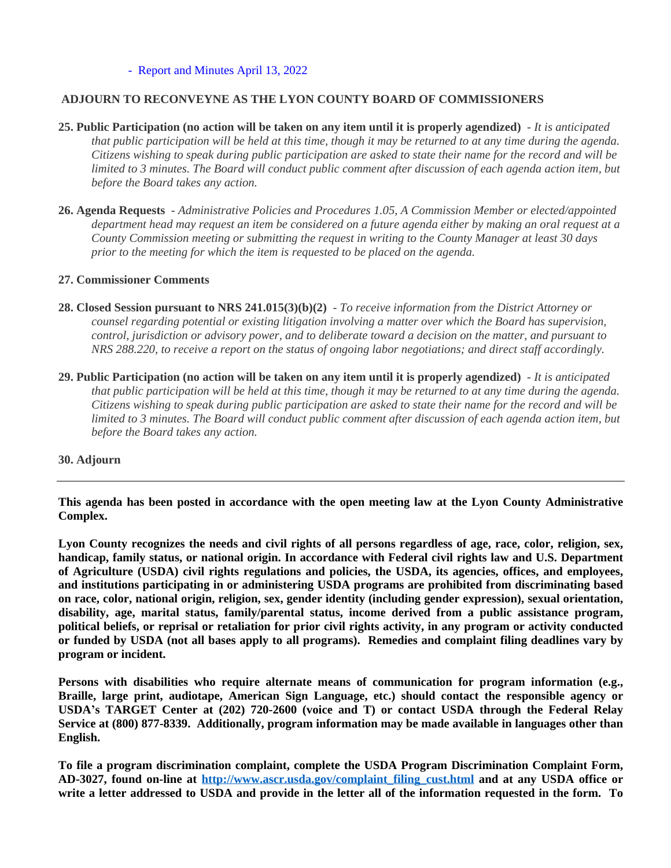[- Report and Minutes April 13, 2022](https://legistarweb-production.s3.amazonaws.com/uploads/attachment/pdf/1393950/MVMADB_4.13.22_Report_and_Minutes_0001.pdf)

## **ADJOURN TO RECONVEYNE AS THE LYON COUNTY BOARD OF COMMISSIONERS**

- **25. Public Participation (no action will be taken on any item until it is properly agendized)** *It is anticipated that public participation will be held at this time, though it may be returned to at any time during the agenda. Citizens wishing to speak during public participation are asked to state their name for the record and will be limited to 3 minutes. The Board will conduct public comment after discussion of each agenda action item, but before the Board takes any action.*
- **26. Agenda Requests** *Administrative Policies and Procedures 1.05, A Commission Member or elected/appointed department head may request an item be considered on a future agenda either by making an oral request at a County Commission meeting or submitting the request in writing to the County Manager at least 30 days prior to the meeting for which the item is requested to be placed on the agenda.*

## **27. Commissioner Comments**

- **28. Closed Session pursuant to NRS 241.015(3)(b)(2)** *To receive information from the District Attorney or counsel regarding potential or existing litigation involving a matter over which the Board has supervision, control, jurisdiction or advisory power, and to deliberate toward a decision on the matter, and pursuant to NRS 288.220, to receive a report on the status of ongoing labor negotiations; and direct staff accordingly.*
- **29. Public Participation (no action will be taken on any item until it is properly agendized)** *It is anticipated*  that public participation will be held at this time, though it may be returned to at any time during the agenda. *Citizens wishing to speak during public participation are asked to state their name for the record and will be limited to 3 minutes. The Board will conduct public comment after discussion of each agenda action item, but before the Board takes any action.*

## **30. Adjourn**

**This agenda has been posted in accordance with the open meeting law at the Lyon County Administrative Complex.**

Lyon County recognizes the needs and civil rights of all persons regardless of age, race, color, religion, sex, **handicap, family status, or national origin. In accordance with Federal civil rights law and U.S. Department of Agriculture (USDA) civil rights regulations and policies, the USDA, its agencies, offices, and employees, and institutions participating in or administering USDA programs are prohibited from discriminating based on race, color, national origin, religion, sex, gender identity (including gender expression), sexual orientation, disability, age, marital status, family/parental status, income derived from a public assistance program,** political beliefs, or reprisal or retaliation for prior civil rights activity, in any program or activity conducted or funded by USDA (not all bases apply to all programs). Remedies and complaint filing deadlines vary by **program or incident.**

**Persons with disabilities who require alternate means of communication for program information (e.g., Braille, large print, audiotape, American Sign Language, etc.) should contact the responsible agency or USDA's TARGET Center at (202) 720-2600 (voice and T) or contact USDA through the Federal Relay Service at (800) 877-8339. Additionally, program information may be made available in languages other than English.**

**To file a program discrimination complaint, complete the USDA Program Discrimination Complaint Form, AD-3027, found on-line at [http://www.ascr.usda.gov/complaint\\_filing\\_cust.html](http://www.ascr.usda.gov/complaint_filing_cust.html) and at any USDA office or** write a letter addressed to USDA and provide in the letter all of the information requested in the form. To